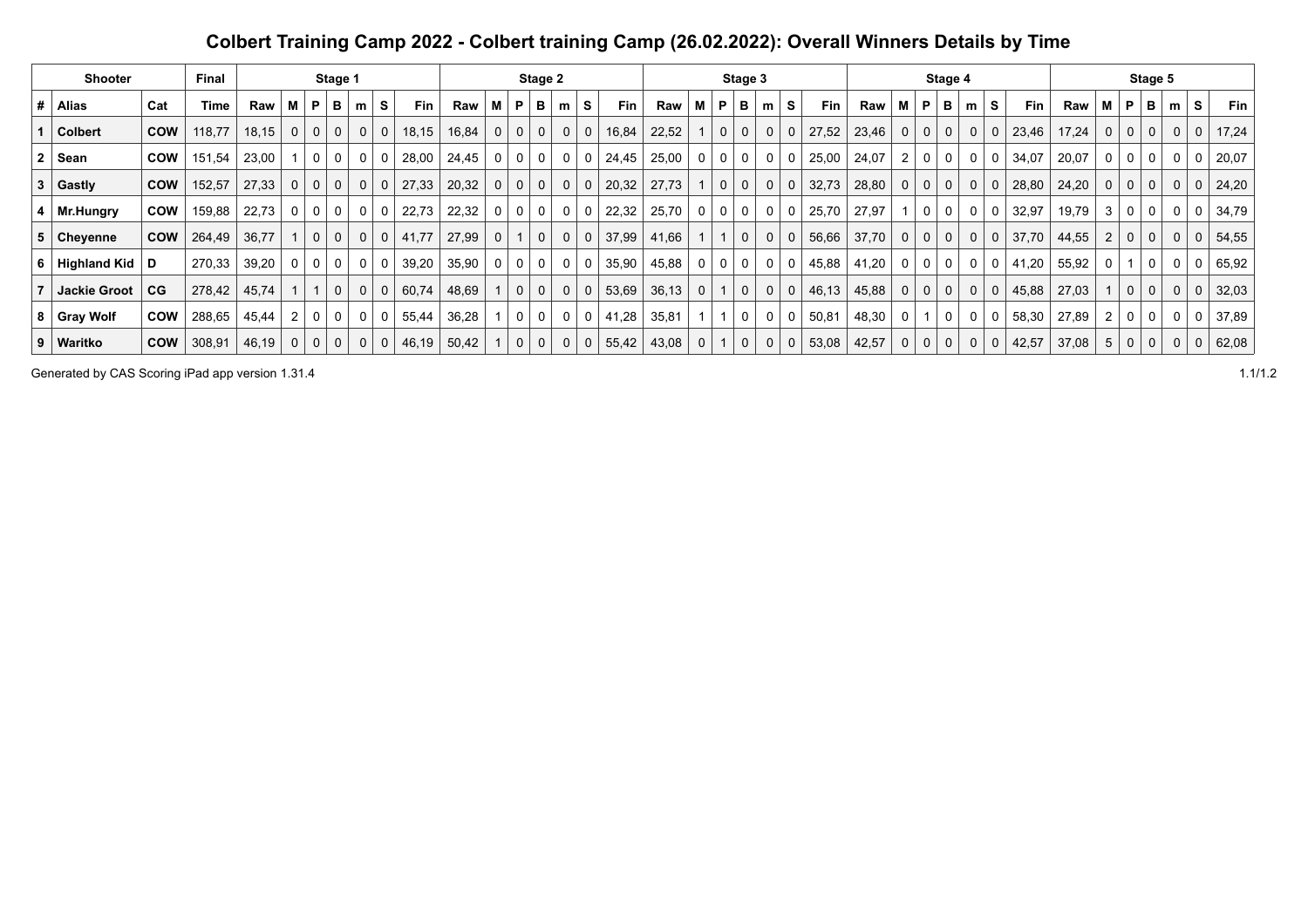## **Colbert Training Camp 2022 - Colbert training Camp (26.02.2022): Overall Winners Details by Time**

|   | <b>Shooter</b>      |            | Final  |       |             |              | Stage 1        |                |   |            |       |              |              | Stage 2        |    |                |       |       |                |                | Stage 3      |             |          |            |       |              |             | Stage 4        |                |                |            |       |             |              | Stage 5      |   |              |            |
|---|---------------------|------------|--------|-------|-------------|--------------|----------------|----------------|---|------------|-------|--------------|--------------|----------------|----|----------------|-------|-------|----------------|----------------|--------------|-------------|----------|------------|-------|--------------|-------------|----------------|----------------|----------------|------------|-------|-------------|--------------|--------------|---|--------------|------------|
| # | Alias               | Cat        | Time   | Raw   | м           | P            | в              | m              | s | <b>Fin</b> | Raw   | М            | P            | в              | m  | S.             | Fin   | Raw   | м              | P              | в            | m           | s        | <b>Fin</b> | Raw   | М            | P           | в              | m              | S              | <b>Fin</b> | Raw   | м           | P            | в            | m | S.           | <b>Fin</b> |
|   | <b>Colbert</b>      | <b>COW</b> | 118,77 | 18,15 | 0           | $\mathbf{0}$ | $\mathbf{0}$   | $\mathbf{0}$   |   | 18,15      | 16,84 | 0            | $\mathbf{0}$ | 0 <sup>1</sup> | 0  | 0              | 16,84 | 22,52 |                | 0 <sup>1</sup> | 0            | $\mathbf 0$ | $\Omega$ | 27,52      | 23,46 | $\mathbf 0$  | $\mathbf 0$ | 0 <sup>1</sup> | 0 <sup>1</sup> | $\mathbf 0$    | 23,46      | 17,24 | 0           | $\mathbf{0}$ | $\mathbf 0$  | 0 | $\mathbf{0}$ | 17,24      |
|   | Sean                | <b>COW</b> | 151,54 | 23,00 |             | 0            | $\Omega$       | $\Omega$       |   | 28,00      | 24,45 |              | 0            | 0              | -0 |                | 24,45 | 25,00 |                | $\mathbf 0$    | 0            | 0           |          | 25,00      | 24,07 | 2            | 0           | $\mathbf{0}$   | 0 <sup>1</sup> | -0             | 34,07      | 20,07 | 0           | 0            | 0            |   | 0            | 20,07      |
|   | 3 Gastly            | <b>COW</b> | 152,57 | 27,33 | $\mathbf 0$ | $\mathbf{0}$ | 0 <sup>1</sup> | $\mathbf{0}$   | 0 | 27,33      | 20,32 | $\mathbf 0$  | $\mathbf{0}$ | 0 <sup>1</sup> | 0  | 0 <sup>1</sup> | 20,32 | 27,73 |                | 0 <sup>1</sup> | $\mathbf{0}$ | $\mathbf 0$ | $\Omega$ | 32,73      | 28,80 | $\mathbf{0}$ | $\mathbf 0$ | 0 <sup>1</sup> | 0 <sup>1</sup> | 0              | 28,80      | 24,20 | $\mathbf 0$ | $\mathbf{0}$ | $\mathbf{0}$ | 0 | $\mathbf{0}$ | 24,20      |
|   | $4 \mid Mr.Hungry$  | <b>COW</b> | 159,88 | 22,73 | 0           | $\mathbf 0$  | $\overline{0}$ | $\mathbf 0$    | 0 | 22,73      | 22,32 | 0            | 0            | 0 <sup>1</sup> | 0  | 0              | 22,32 | 25,70 | 0 <sup>1</sup> | 0 <sup>1</sup> | $\mathbf 0$  | $\mathbf 0$ | 0        | 25,70      | 27,97 |              | $\mathbf 0$ | 0 <sup>1</sup> | $\overline{0}$ | 0              | 32,97      | 19,79 | 3           | 0            | 0            | 0 | 0            | 34,79      |
|   | 5 Cheyenne          | <b>COW</b> | 264,49 | 36,77 |             | $\mathbf{0}$ | $\mathbf{0}$   | 0 <sup>1</sup> |   | 41,77      | 27,99 | $\mathbf{0}$ |              | $\mathbf{0}$   | 0  | $\mathbf{0}$   | 37,99 | 41,66 |                |                | $\mathbf 0$  | 0           |          | 56,66      | 37,70 | $\mathbf{0}$ | $\mathbf 0$ | 0 <sup>1</sup> | $\mathbf{0}$   | 0              | 37,70      | 44,55 |             | 0            | 0            |   | 0            | 54,55      |
|   | 6 Highland Kid      | D          | 270,33 | 39,20 | 0           | $\mathbf{0}$ | 0 <sup>1</sup> | $\mathbf 0$    |   | 39,20      | 35,90 | 0            | $\mathbf{0}$ | 0 <sup>1</sup> | 0  | $\mathbf{0}$   | 35,90 | 45,88 | 0 <sup>1</sup> | 0 <sup>1</sup> | $\mathbf 0$  | $\mathbf 0$ | 0        | 45,88      | 41,20 | $\mathbf 0$  | $\mathbf 0$ | 0 <sup>1</sup> | $\overline{0}$ | 0              | 41,20      | 55,92 | 0           |              | 0            | 0 | $\mathbf 0$  | 65,92      |
|   | <b>Jackie Groot</b> | CG         | 278,42 | 45,74 |             |              | $\mathbf{0}$   | $\Omega$       |   | 60,74      | 48,69 |              | $\mathbf{0}$ | $\mathbf{0}$   | 0  | $\mathbf{0}$   | 53,69 | 36,13 | 0 <sup>1</sup> |                | $\mathbf 0$  | $\mathbf 0$ | $\Omega$ | 46,13      | 45,88 | $\mathbf{0}$ | $\mathbf 0$ | 0 <sup>1</sup> | 0 <sup>1</sup> | $\mathbf{0}$   | 45,88      | 27,03 |             | $\Omega$     | $\mathbf 0$  | 0 | $\mathbf{0}$ | 32,03      |
|   | 8 Gray Wolf         | <b>COW</b> | 288,65 | 45,44 | 2           | $\mathbf{0}$ | $\overline{0}$ | $\mathbf 0$    |   | 55,44      | 36,28 |              | $\mathbf 0$  | 0              | 0  | 0              | 41,28 | 35,81 |                |                | 0            | 0           | 0        | 50,81      | 48,30 | 0            |             | 0 <sup>1</sup> | 0 <sup>1</sup> | -0             | 58,30      | 27,89 |             | 0            | 0            | 0 | 0            | 37,89      |
|   | 9   Waritko         | <b>COW</b> | 308,91 | 46,19 | 0           | $\mathbf{0}$ | $\mathbf{0}$   | 0              |   | 46,19      | 50,42 |              | $\Omega$     | 0              | 0  | 0              | 55,42 | 43,08 | 0              |                | 0            | 0           | $\Omega$ | 53,08      | 42,57 | $\mathbf{0}$ | $\mathbf 0$ | 0 <sup>1</sup> | 0 <sup>1</sup> | $\overline{0}$ | 42,57      | 37,08 | 5           | 0            | 0            | 0 | $\mathbf 0$  | 62,08      |

Generated by CAS Scoring iPad app version 1.31.4 1.1/1.2